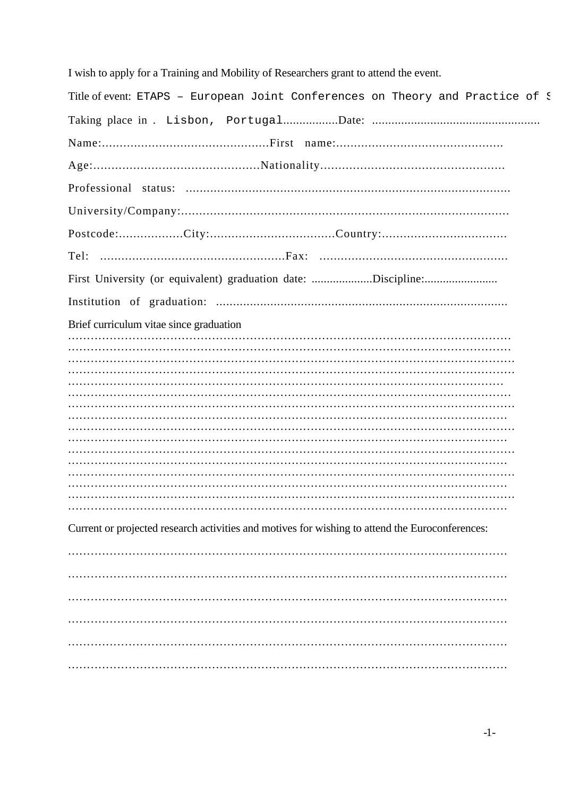I wish to apply for a Training and Mobility of Researchers grant to attend the event.

| Title of event: ETAPS - European Joint Conferences on Theory and Practice of ?                  |
|-------------------------------------------------------------------------------------------------|
|                                                                                                 |
|                                                                                                 |
|                                                                                                 |
|                                                                                                 |
|                                                                                                 |
| Postcode:City:Country:                                                                          |
|                                                                                                 |
| First University (or equivalent) graduation date: Discipline:                                   |
|                                                                                                 |
| Brief curriculum vitae since graduation                                                         |
|                                                                                                 |
|                                                                                                 |
|                                                                                                 |
|                                                                                                 |
|                                                                                                 |
|                                                                                                 |
|                                                                                                 |
|                                                                                                 |
|                                                                                                 |
|                                                                                                 |
|                                                                                                 |
|                                                                                                 |
|                                                                                                 |
|                                                                                                 |
|                                                                                                 |
| Current or projected research activities and motives for wishing to attend the Euroconferences: |
|                                                                                                 |
|                                                                                                 |
|                                                                                                 |
|                                                                                                 |
|                                                                                                 |
|                                                                                                 |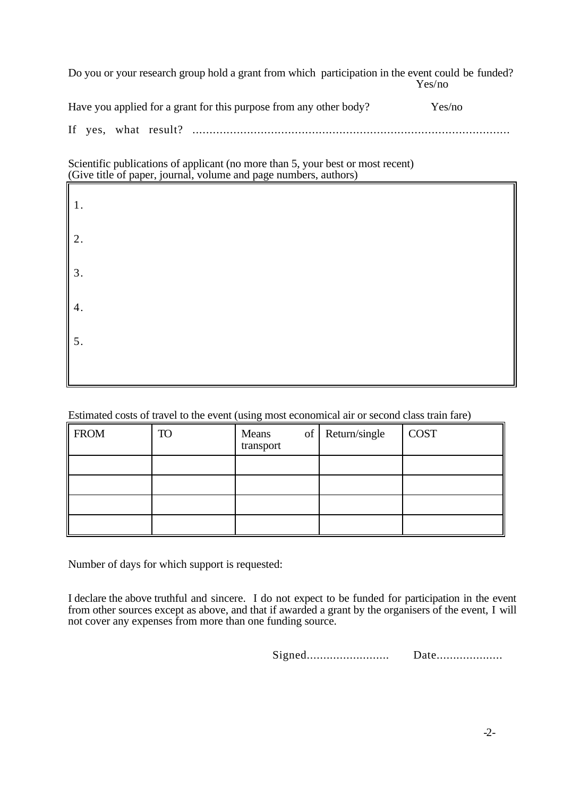Do you or your research group hold a grant from which participation in the event could be funded? Yes/no

| Have you applied for a grant for this purpose from any other body? | Yes/no |
|--------------------------------------------------------------------|--------|
|                                                                    |        |

If yes, what result? .............................................................................................

Scientific publications of applicant (no more than 5, your best or most recent) (Give title of paper, journal, volume and page numbers, authors)

| 1.<br>2.<br>3.<br>4.<br>5. |  |  |
|----------------------------|--|--|
|                            |  |  |
|                            |  |  |
|                            |  |  |
| щ                          |  |  |

Estimated costs of travel to the event (using most economical air or second class train fare)

| <b>FROM</b> | <b>TO</b> | Means<br>transport | of Return/single | <b>COST</b> |
|-------------|-----------|--------------------|------------------|-------------|
|             |           |                    |                  |             |
|             |           |                    |                  |             |
|             |           |                    |                  |             |
|             |           |                    |                  |             |

Number of days for which support is requested:

I declare the above truthful and sincere. I do not expect to be funded for participation in the event from other sources except as above, and that if awarded a grant by the organisers of the event, I will not cover any expenses from more than one funding source.

Signed......................... Date....................